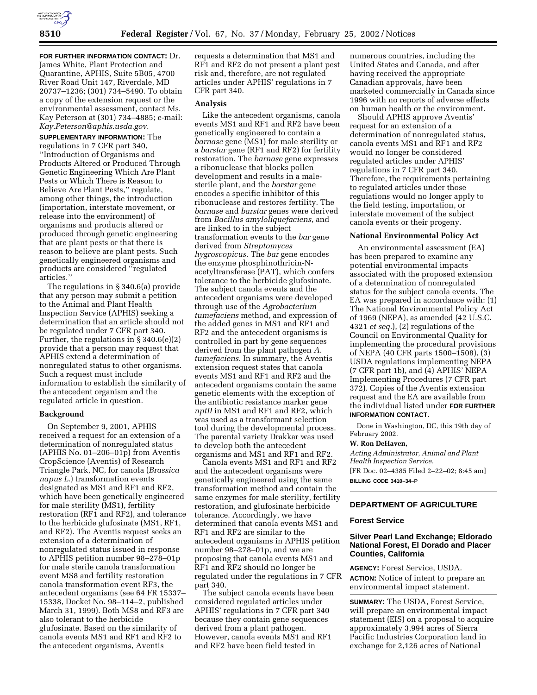**FOR FURTHER INFORMATION CONTACT:** Dr. James White, Plant Protection and Quarantine, APHIS, Suite 5B05, 4700 River Road Unit 147, Riverdale, MD 20737–1236; (301) 734–5490. To obtain a copy of the extension request or the environmental assessment, contact Ms. Kay Peterson at (301) 734–4885; e-mail: *Kay.Peterson@aphis.usda.gov*.

**SUPPLEMENTARY INFORMATION:** The regulations in 7 CFR part 340, ''Introduction of Organisms and Products Altered or Produced Through Genetic Engineering Which Are Plant Pests or Which There is Reason to Believe Are Plant Pests,'' regulate, among other things, the introduction (importation, interstate movement, or release into the environment) of organisms and products altered or produced through genetic engineering that are plant pests or that there is reason to believe are plant pests. Such genetically engineered organisms and products are considered ''regulated articles.''

The regulations in § 340.6(a) provide that any person may submit a petition to the Animal and Plant Health Inspection Service (APHIS) seeking a determination that an article should not be regulated under 7 CFR part 340. Further, the regulations in § 340.6(e)(2) provide that a person may request that APHIS extend a determination of nonregulated status to other organisms. Such a request must include information to establish the similarity of the antecedent organism and the regulated article in question.

### **Background**

On September 9, 2001, APHIS received a request for an extension of a determination of nonregulated status (APHIS No. 01–206–01p) from Aventis CropScience (Aventis) of Research Triangle Park, NC, for canola (*Brassica napus L.*) transformation events designated as MS1 and RF1 and RF2, which have been genetically engineered for male sterility (MS1), fertility restoration (RF1 and RF2), and tolerance to the herbicide glufosinate (MS1, RF1, and RF2). The Aventis request seeks an extension of a determination of nonregulated status issued in response to APHIS petition number 98–278–01p for male sterile canola transformation event MS8 and fertility restoration canola transformation event RF3, the antecedent organisms (see 64 FR 15337– 15338, Docket No. 98–114–2, published March 31, 1999). Both MS8 and RF3 are also tolerant to the herbicide glufosinate. Based on the similarity of canola events MS1 and RF1 and RF2 to the antecedent organisms, Aventis

requests a determination that MS1 and RF1 and RF2 do not present a plant pest risk and, therefore, are not regulated articles under APHIS' regulations in 7 CFR part 340.

### **Analysis**

Like the antecedent organisms, canola events MS1 and RF1 and RF2 have been genetically engineered to contain a *barnase* gene (MS1) for male sterility or a *barstar* gene (RF1 and RF2) for fertility restoration. The *barnase* gene expresses a ribonuclease that blocks pollen development and results in a malesterile plant, and the *barstar* gene encodes a specific inhibitor of this ribonuclease and restores fertility. The *barnase* and *barstar* genes were derived from *Bacillus amyloliquefaciens*, and are linked to in the subject transformation events to the *bar* gene derived from *Streptomyces hygroscopicus*. The *bar* gene encodes the enzyme phosphinothricin-Nacetyltransferase (PAT), which confers tolerance to the herbicide glufosinate. The subject canola events and the antecedent organisms were developed through use of the *Agrobacterium tumefaciens* method, and expression of the added genes in MS1 and RF1 and RF2 and the antecedent organisms is controlled in part by gene sequences derived from the plant pathogen *A. tumefaciens*. In summary, the Aventis extension request states that canola events MS1 and RF1 and RF2 and the antecedent organisms contain the same genetic elements with the exception of the antibiotic resistance marker gene *nptII* in MS1 and RF1 and RF2, which was used as a transformant selection tool during the developmental process. The parental variety Drakkar was used to develop both the antecedent organisms and MS1 and RF1 and RF2.

Canola events MS1 and RF1 and RF2 and the antecedent organisms were genetically engineered using the same transformation method and contain the same enzymes for male sterility, fertility restoration, and glufosinate herbicide tolerance. Accordingly, we have determined that canola events MS1 and RF1 and RF2 are similar to the antecedent organisms in APHIS petition number 98–278–01p, and we are proposing that canola events MS1 and RF1 and RF2 should no longer be regulated under the regulations in 7 CFR part 340.

The subject canola events have been considered regulated articles under APHIS' regulations in 7 CFR part 340 because they contain gene sequences derived from a plant pathogen. However, canola events MS1 and RF1 and RF2 have been field tested in

numerous countries, including the United States and Canada, and after having received the appropriate Canadian approvals, have been marketed commercially in Canada since 1996 with no reports of adverse effects on human health or the environment.

Should APHIS approve Aventis' request for an extension of a determination of nonregulated status, canola events MS1 and RF1 and RF2 would no longer be considered regulated articles under APHIS' regulations in 7 CFR part 340. Therefore, the requirements pertaining to regulated articles under those regulations would no longer apply to the field testing, importation, or interstate movement of the subject canola events or their progeny.

### **National Environmental Policy Act**

An environmental assessment (EA) has been prepared to examine any potential environmental impacts associated with the proposed extension of a determination of nonregulated status for the subject canola events. The EA was prepared in accordance with: (1) The National Environmental Policy Act of 1969 (NEPA), as amended (42 U.S.C. 4321 *et seq.*), (2) regulations of the Council on Environmental Quality for implementing the procedural provisions of NEPA (40 CFR parts 1500–1508), (3) USDA regulations implementing NEPA (7 CFR part 1b), and (4) APHIS' NEPA Implementing Procedures (7 CFR part 372). Copies of the Aventis extension request and the EA are available from the individual listed under **FOR FURTHER INFORMATION CONTACT**.

Done in Washington, DC, this 19th day of February 2002.

#### **W. Ron DeHaven,**

*Acting Administrator, Animal and Plant Health Inspection Service.* [FR Doc. 02–4385 Filed 2–22–02; 8:45 am] **BILLING CODE 3410–34–P**

### **DEPARTMENT OF AGRICULTURE**

### **Forest Service**

# **Silver Pearl Land Exchange; Eldorado National Forest, El Dorado and Placer Counties, California**

**AGENCY:** Forest Service, USDA. **ACTION:** Notice of intent to prepare an environmental impact statement.

**SUMMARY:** The USDA, Forest Service, will prepare an environmental impact statement (EIS) on a proposal to acquire approximately 3,994 acres of Sierra Pacific Industries Corporation land in exchange for 2,126 acres of National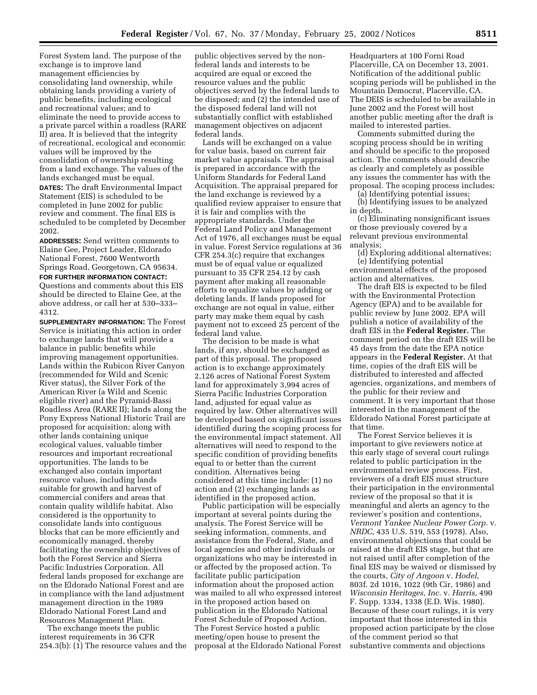Forest System land. The purpose of the exchange is to improve land management efficiencies by consolidating land ownership, while obtaining lands providing a variety of public benefits, including ecological and recreational values; and to eliminate the need to provide access to a private parcel within a roadless (RARE II) area. It is believed that the integrity of recreational, ecological and economic values will be improved by the consolidation of ownership resulting from a land exchange. The values of the lands exchanged must be equal. **DATES:** The draft Environmental Impact Statement (EIS) is scheduled to be completed in June 2002 for public

review and comment. The final EIS is scheduled to be completed by December 2002. **ADDRESSES:** Send written comments to

Elaine Gee, Project Leader, Eldorado National Forest, 7600 Wentworth Springs Road, Georgetown, CA 95634. **FOR FURTHER INFORMATION CONTACT:**

Questions and comments about this EIS should be directed to Elaine Gee, at the above address, or call her at 530–333– 4312.

**SUPPLEMENTARY INFORMATION:** The Forest Service is initiating this action in order to exchange lands that will provide a balance in public benefits while improving management opportunities. Lands within the Rubicon River Canyon (recommended for Wild and Scenic River status), the Silver Fork of the American River (a Wild and Scenic eligible river) and the Pyramid-Bassi Roadless Area (RARE II); lands along the Pony Express National Historic Trail are proposed for acquisition; along with other lands containing unique ecological values, valuable timber resources and important recreational opportunities. The lands to be exchanged also contain important resource values, including lands suitable for growth and harvest of commercial conifers and areas that contain quality wildlife habitat. Also considered is the opportunity to consolidate lands into contiguous blocks that can be more efficiently and economically managed, thereby facilitating the ownership objectives of both the Forest Service and Sierra Pacific Industries Corporation. All federal lands proposed for exchange are on the Eldorado National Forest and are in compliance with the land adjustment management direction in the 1989 Eldorado National Forest Land and Resources Management Plan.

The exchange meets the public interest requirements in 36 CFR 254.3(b): (1) The resource values and the

public objectives served by the nonfederal lands and interests to be acquired are equal or exceed the resource values and the public objectives served by the federal lands to be disposed; and (2) the intended use of the disposed federal land will not substantially conflict with established management objectives on adjacent federal lands.

Lands will be exchanged on a value for value basis, based on current fair market value appraisals. The appraisal is prepared in accordance with the Uniform Standards for Federal Land Acquisition. The appraisal prepared for the land exchange is reviewed by a qualified review appraiser to ensure that it is fair and complies with the appropriate standards. Under the Federal Land Policy and Management Act of 1976, all exchanges must be equal in value. Forest Service regulations at 36 CFR 254.3(c) require that exchanges must be of equal value or equalized pursuant to 35 CFR 254.12 by cash payment after making all reasonable efforts to equalize values by adding or deleting lands. If lands proposed for exchange are not equal in value, either party may make them equal by cash payment not to exceed 25 percent of the federal land value.

The decision to be made is what lands, if any, should be exchanged as part of this proposal. The proposed action is to exchange approximately 2,126 acres of National Forest System land for approximately 3,994 acres of Sierra Pacific Industries Corporation land, adjusted for equal value as required by law. Other alternatives will be developed based on significant issues identified during the scoping process for the environmental impact statement. All alternatives will need to respond to the specific condition of providing benefits equal to or better than the current condition. Alternatives being considered at this time include: (1) no action and (2) exchanging lands as identified in the proposed action.

Public participation will be especially important at several points during the analysis. The Forest Service will be seeking information, comments, and assistance from the Federal, State, and local agencies and other individuals or organizations who may be interested in or affected by the proposed action. To facilitate public participation information about the proposed action was mailed to all who expressed interest in the proposed action based on publication in the Eldorado National Forest Schedule of Proposed Action. The Forest Service hosted a public meeting/open house to present the proposal at the Eldorado National Forest

Headquarters at 100 Forni Road Placerville, CA on December 13, 2001. Notification of the additional public scoping periods will be published in the Mountain Democrat, Placerville, CA. The DEIS is scheduled to be available in June 2002 and the Forest will host another public meeting after the draft is mailed to interested parties.

Comments submitted during the scoping process should be in writing and should be specific to the proposed action. The comments should describe as clearly and completely as possible any issues the commenter has with the proposal. The scoping process includes:

(a) Identifying potential issues;

(b) Identifying issues to be analyzed in depth.

(c) Eliminating nonsignificant issues or those previously covered by a relevant previous environmental analysis;

(d) Exploring additional alternatives; (e) Identifying potential environmental effects of the proposed action and alternatives.

The draft EIS is expected to be filed with the Environmental Protection Agency (EPA) and to be available for public review by June 2002. EPA will publish a notice of availability of the draft EIS in the **Federal Register.** The comment period on the draft EIS will be 45 days from the date the EPA notice appears in the **Federal Register.** At that time, copies of the draft EIS will be distributed to interested and affected agencies, organizations, and members of the public for their review and comment. It is very important that those interested in the management of the Eldorado National Forest participate at that time.

The Forest Service believes it is important to give reviewers notice at this early stage of several court rulings related to public participation in the environmental review process. First, reviewers of a draft EIS must structure their participation in the environmental review of the proposal so that it is meaningful and alerts an agency to the reviewer's position and contentions, *Vermont Yankee Nuclear Power Corp.* v. *NRDC,* 435 U.S. 519, 553 (1978). Also, environmental objections that could be raised at the draft EIS stage, but that are not raised until after completion of the final EIS may be waived or dismissed by the courts, *City of Angoon* v. *Hodel,* 803f. 2d 1016, 1022 (9th Cir, 1986) and *Wisconsin Heritages, Inc.* v. *Harris,* 490 F. Supp. 1334, 1338 (E.D. Wis. 1980). Because of these court rulings, it is very important that those interested in this proposed action participate by the close of the comment period so that substantive comments and objections